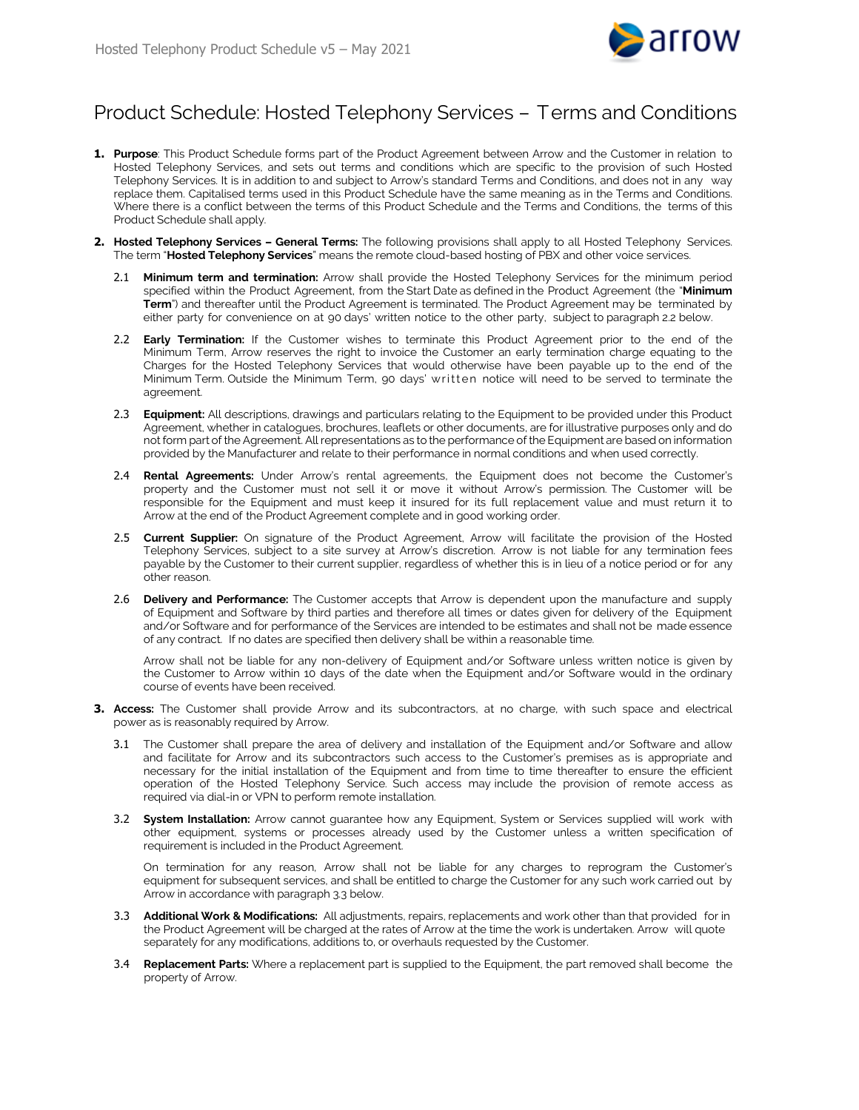

## Product Schedule: Hosted Telephony Services – Terms and Conditions

- **1. Purpose**: This Product Schedule forms part of the Product Agreement between Arrow and the Customer in relation to Hosted Telephony Services, and sets out terms and conditions which are specific to the provision of such Hosted Telephony Services. It is in addition to and subject to Arrow's standard Terms and Conditions, and does not in any way replace them. Capitalised terms used in this Product Schedule have the same meaning as in the Terms and Conditions. Where there is a conflict between the terms of this Product Schedule and the Terms and Conditions, the terms of this Product Schedule shall apply.
- <span id="page-0-0"></span>**2. Hosted Telephony Services – General Terms:** The following provisions shall apply to all Hosted Telephony Services. The term "**Hosted Telephony Services**" means the remote cloud-based hosting of PBX and other voice services.
	- 2.1 **Minimum term and termination:** Arrow shall provide the Hosted Telephony Services for the minimum period specified within the Product Agreement, from the Start Date as defined in the Product Agreement (the "**Minimum Term**") and thereafter until the Product Agreement is terminated. The Product Agreement may be terminated by either party for convenience on at 90 days' written notice to the other party, subject to paragrap[h 2.2](#page-0-0) below.
	- 2.2 **Early Termination:** If the Customer wishes to terminate this Product Agreement prior to the end of the Minimum Term, Arrow reserves the right to invoice the Customer an early termination charge equating to the Charges for the Hosted Telephony Services that would otherwise have been payable up to the end of the Minimum Term. Outside the Minimum Term, 90 days' written notice will need to be served to terminate the agreement.
	- 2.3 **Equipment:** All descriptions, drawings and particulars relating to the Equipment to be provided under this Product Agreement, whether in catalogues, brochures, leaflets or other documents, are for illustrative purposes only and do not form part of the Agreement. All representations as to the performance of the Equipment are based on information provided by the Manufacturer and relate to their performance in normal conditions and when used correctly.
	- 2.4 **Rental Agreements:** Under Arrow's rental agreements, the Equipment does not become the Customer's property and the Customer must not sell it or move it without Arrow's permission. The Customer will be responsible for the Equipment and must keep it insured for its full replacement value and must return it to Arrow at the end of the Product Agreement complete and in good working order.
	- 2.5 **Current Supplier:** On signature of the Product Agreement, Arrow will facilitate the provision of the Hosted Telephony Services, subject to a site survey at Arrow's discretion. Arrow is not liable for any termination fees payable by the Customer to their current supplier, regardless of whether this is in lieu of a notice period or for any other reason.
	- 2.6 **Delivery and Performance:** The Customer accepts that Arrow is dependent upon the manufacture and supply of Equipment and Software by third parties and therefore all times or dates given for delivery of the Equipment and/or Software and for performance of the Services are intended to be estimates and shall not be made essence of any contract. If no dates are specified then delivery shall be within a reasonable time.

Arrow shall not be liable for any non-delivery of Equipment and/or Software unless written notice is given by the Customer to Arrow within 10 days of the date when the Equipment and/or Software would in the ordinary course of events have been received.

- **3. Access:** The Customer shall provide Arrow and its subcontractors, at no charge, with such space and electrical power as is reasonably required by Arrow.
	- 3.1 The Customer shall prepare the area of delivery and installation of the Equipment and/or Software and allow and facilitate for Arrow and its subcontractors such access to the Customer's premises as is appropriate and necessary for the initial installation of the Equipment and from time to time thereafter to ensure the efficient operation of the Hosted Telephony Service. Such access may include the provision of remote access as required via dial-in or VPN to perform remote installation.
	- 3.2 **System Installation:** Arrow cannot guarantee how any Equipment, System or Services supplied will work with other equipment, systems or processes already used by the Customer unless a written specification of requirement is included in the Product Agreement.

On termination for any reason, Arrow shall not be liable for any charges to reprogram the Customer's equipment for subsequent services, and shall be entitled to charge the Customer for any such work carried out by Arrow in accordance with paragr[aph](#page-0-1) 3.3 below.

- <span id="page-0-1"></span>3.3 **Additional Work & Modifications:** All adjustments, repairs, replacements and work other than that provided for in the Product Agreement will be charged at the rates of Arrow at the time the work is undertaken. Arrow will quote separately for any modifications, additions to, or overhauls requested by the Customer.
- 3.4 **Replacement Parts:** Where a replacement part is supplied to the Equipment, the part removed shall become the property of Arrow.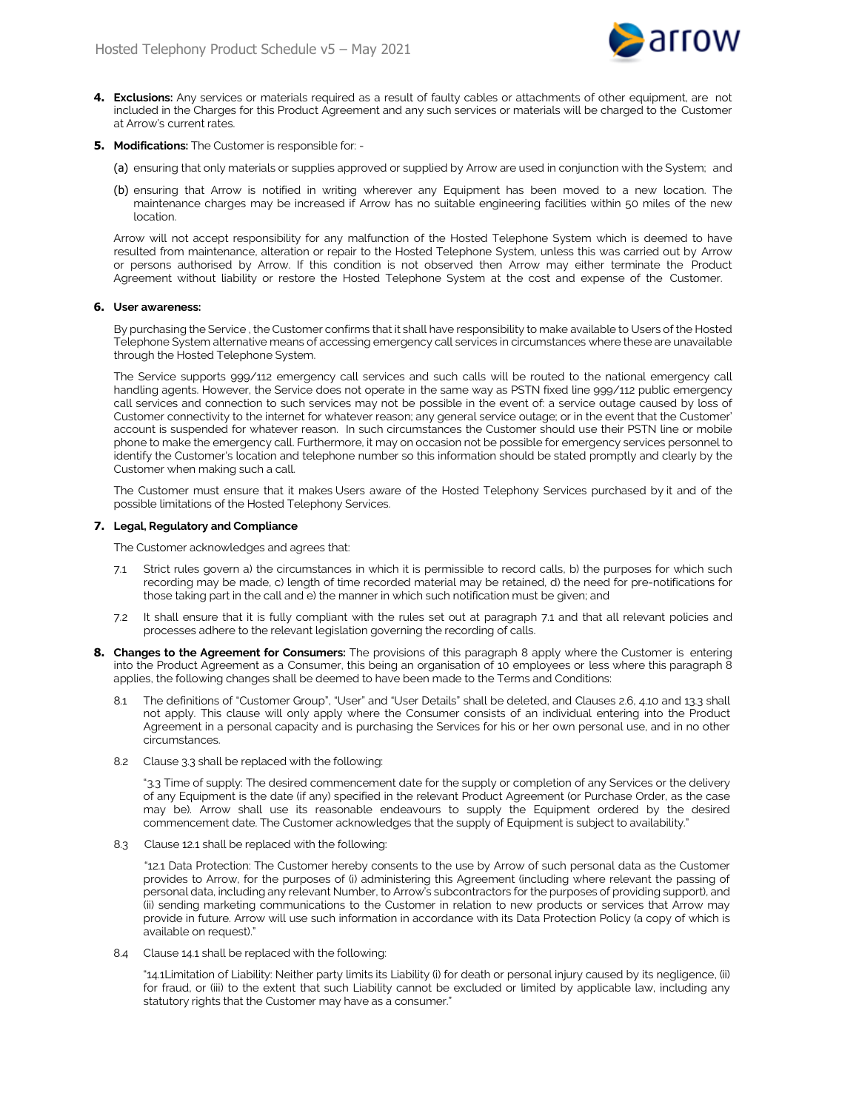

- **4. Exclusions:** Any services or materials required as a result of faulty cables or attachments of other equipment, are not included in the Charges for this Product Agreement and any such services or materials will be charged to the Customer at Arrow's current rates.
- **5. Modifications:** The Customer is responsible for:
	- (a) ensuring that only materials or supplies approved or supplied by Arrow are used in conjunction with the System; and
	- (b) ensuring that Arrow is notified in writing wherever any Equipment has been moved to a new location. The maintenance charges may be increased if Arrow has no suitable engineering facilities within 50 miles of the new location.

Arrow will not accept responsibility for any malfunction of the Hosted Telephone System which is deemed to have resulted from maintenance, alteration or repair to the Hosted Telephone System, unless this was carried out by Arrow or persons authorised by Arrow. If this condition is not observed then Arrow may either terminate the Product Agreement without liability or restore the Hosted Telephone System at the cost and expense of the Customer.

## **6. User awareness:**

By purchasing the Service , the Customer confirms that it shall have responsibility to make available to Users of the Hosted Telephone System alternative means of accessing emergency call services in circumstances where these are unavailable through the Hosted Telephone System.

The Service supports 999/112 emergency call services and such calls will be routed to the national emergency call handling agents. However, the Service does not operate in the same way as PSTN fixed line 999/112 public emergency call services and connection to such services may not be possible in the event of: a service outage caused by loss of Customer connectivity to the internet for whatever reason; any general service outage; or in the event that the Customer' account is suspended for whatever reason. In such circumstances the Customer should use their PSTN line or mobile phone to make the emergency call. Furthermore, it may on occasion not be possible for emergency services personnel to identify the Customer's location and telephone number so this information should be stated promptly and clearly by the Customer when making such a call.

The Customer must ensure that it makes Users aware of the Hosted Telephony Services purchased by it and of the possible limitations of the Hosted Telephony Services.

## **7. Legal, Regulatory and Compliance**

The Customer acknowledges and agrees that:

- 7.1 Strict rules govern a) the circumstances in which it is permissible to record calls, b) the purposes for which such recording may be made, c) length of time recorded material may be retained, d) the need for pre-notifications for those taking part in the call and e) the manner in which such notification must be given; and
- 7.2 It shall ensure that it is fully compliant with the rules set out at paragraph 7.1 and that all relevant policies and processes adhere to the relevant legislation governing the recording of calls.
- **8. Changes to the Agreement for Consumers:** The provisions of this paragraph 8 apply where the Customer is entering into the Product Agreement as a Consumer, this being an organisation of 10 employees or less where this paragraph 8 applies, the following changes shall be deemed to have been made to the Terms and Conditions:
	- 8.1 The definitions of "Customer Group", "User" and "User Details" shall be deleted, and Clauses 2.6, 4.10 and 13.3 shall not apply. This clause will only apply where the Consumer consists of an individual entering into the Product Agreement in a personal capacity and is purchasing the Services for his or her own personal use, and in no other circumstances.
	- 8.2 Clause 3.3 shall be replaced with the following:

"3.3 Time of supply: The desired commencement date for the supply or completion of any Services or the delivery of any Equipment is the date (if any) specified in the relevant Product Agreement (or Purchase Order, as the case may be). Arrow shall use its reasonable endeavours to supply the Equipment ordered by the desired commencement date. The Customer acknowledges that the supply of Equipment is subject to availability."

8.3 Clause 12.1 shall be replaced with the following:

"12.1 Data Protection: The Customer hereby consents to the use by Arrow of such personal data as the Customer provides to Arrow, for the purposes of (i) administering this Agreement (including where relevant the passing of personal data, including any relevant Number, to Arrow's subcontractors for the purposes of providing support), and (ii) sending marketing communications to the Customer in relation to new products or services that Arrow may provide in future. Arrow will use such information in accordance with its Data Protection Policy (a copy of which is available on request)."

8.4 Clause 14.1 shall be replaced with the following:

"14.1Limitation of Liability: Neither party limits its Liability (i) for death or personal injury caused by its negligence, (ii) for fraud, or (iii) to the extent that such Liability cannot be excluded or limited by applicable law, including any statutory rights that the Customer may have as a consumer."